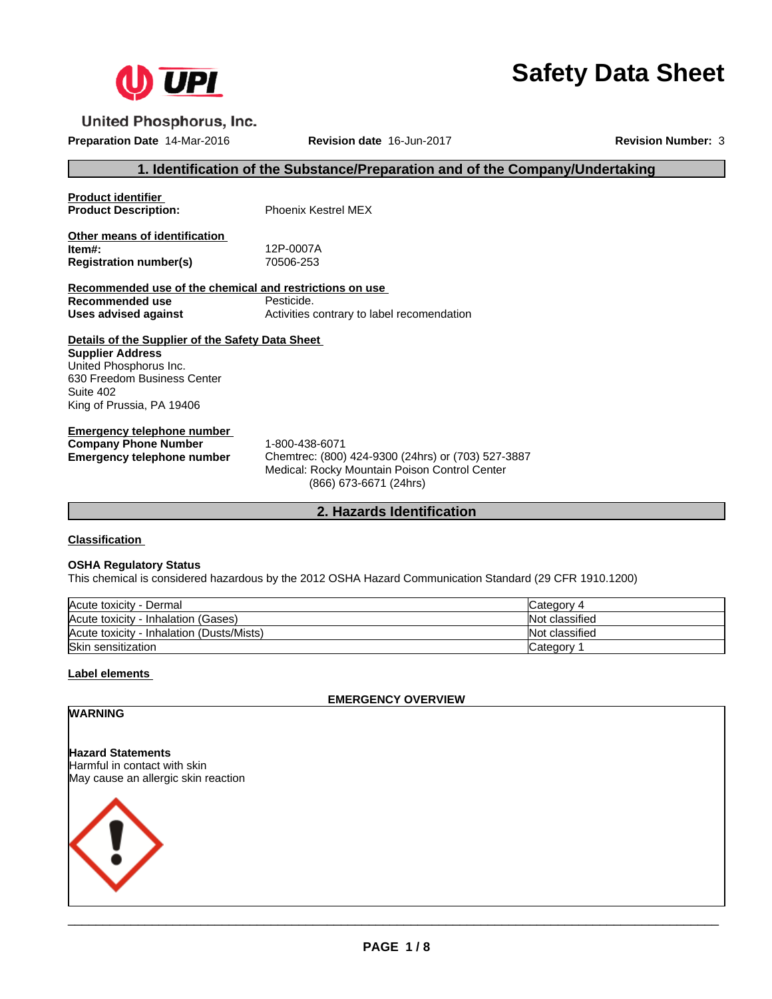

# **Safety Data Sheet**

**United Phosphorus, Inc.** 

**Preparation Date** 14-Mar-2016 **Revision date** 16-Jun-2017 **Revision Number:** 3

## **1. Identification of the Substance/Preparation and of the Company/Undertaking**

| <b>Product identifier</b><br><b>Product Description:</b>                                                                                                                       | <b>Phoenix Kestrel MFX</b>                                           |
|--------------------------------------------------------------------------------------------------------------------------------------------------------------------------------|----------------------------------------------------------------------|
| Other means of identification<br>ltem#:<br><b>Registration number(s)</b>                                                                                                       | 12P-0007A<br>70506-253                                               |
| Recommended use of the chemical and restrictions on use<br>Recommended use<br>Uses advised against                                                                             | Pesticide.<br>Activities contrary to label recomendation             |
| Details of the Supplier of the Safety Data Sheet<br><b>Supplier Address</b><br>United Phosphorus Inc.<br>630 Freedom Business Center<br>Suite 402<br>King of Prussia, PA 19406 |                                                                      |
| Emergency telephone number<br><b>Company Phone Number</b><br>Emergency telephone number                                                                                        | 1-800-438-6071<br>Chemtrec: (800) 424-9300 (24hrs) or (703) 527-3887 |

**Emergency telephone number** Chemtrec: (800) 424-9300 (24hrs) or (703) 527-3887 Medical: Rocky Mountain Poison Control Center (866) 673-6671 (24hrs)

## **2. Hazards Identification**

## **Classification**

#### **OSHA Regulatory Status**

This chemical is considered hazardous by the 2012 OSHA Hazard Communication Standard (29 CFR 1910.1200)

| Acute toxicity - Dermal                   | Category 4     |
|-------------------------------------------|----------------|
| Acute toxicity - Inhalation (Gases)       | Not classified |
| Acute toxicity - Inhalation (Dusts/Mists) | Not classified |
| Skin sensitization                        | Category       |

## **Label elements**

**EMERGENCY OVERVIEW**

## **WARNING**

**Hazard Statements** Harmful in contact with skin May cause an allergic skin reaction

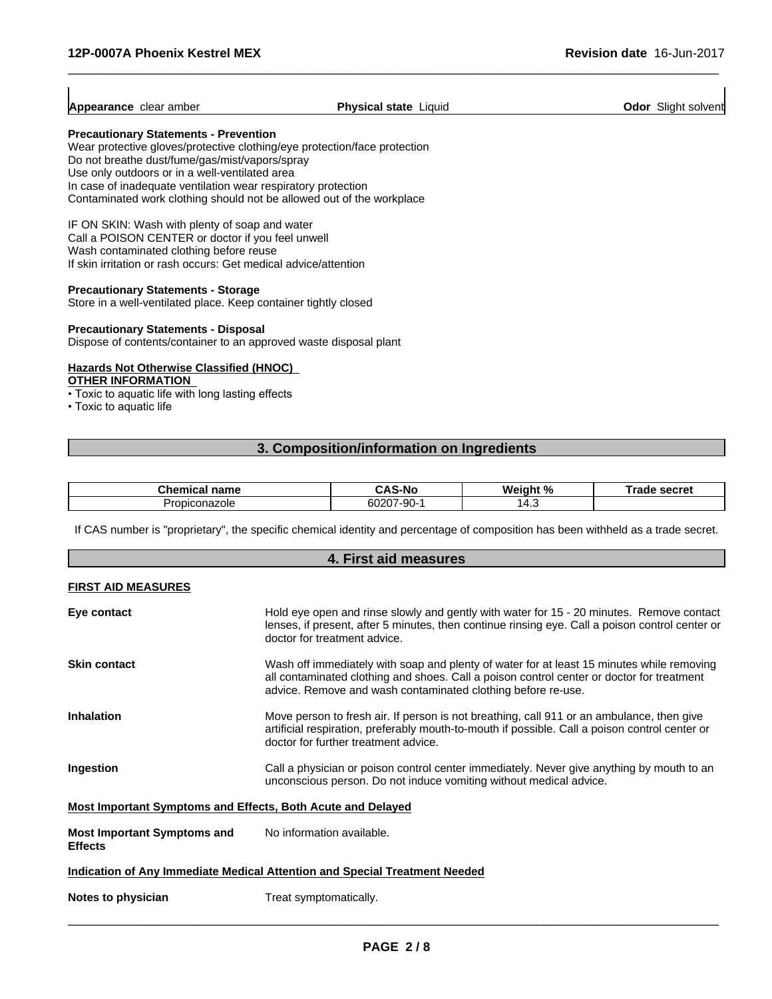$\overline{\phantom{a}}$ 

| Appearance<br>clear amber | Physical<br>state<br>Liquid | Slight solvent<br>Odor |
|---------------------------|-----------------------------|------------------------|
|---------------------------|-----------------------------|------------------------|

 $\overline{\phantom{a}}$  ,  $\overline{\phantom{a}}$  ,  $\overline{\phantom{a}}$  ,  $\overline{\phantom{a}}$  ,  $\overline{\phantom{a}}$  ,  $\overline{\phantom{a}}$  ,  $\overline{\phantom{a}}$  ,  $\overline{\phantom{a}}$  ,  $\overline{\phantom{a}}$  ,  $\overline{\phantom{a}}$  ,  $\overline{\phantom{a}}$  ,  $\overline{\phantom{a}}$  ,  $\overline{\phantom{a}}$  ,  $\overline{\phantom{a}}$  ,  $\overline{\phantom{a}}$  ,  $\overline{\phantom{a}}$ 

#### **Precautionary Statements - Prevention**

Wear protective gloves/protective clothing/eye protection/face protection Do not breathe dust/fume/gas/mist/vapors/spray Use only outdoors or in a well-ventilated area In case of inadequate ventilation wear respiratory protection Contaminated work clothing should not be allowed out of the workplace

IF ON SKIN: Wash with plenty of soap and water Call a POISON CENTER or doctor if you feel unwell Wash contaminated clothing before reuse If skin irritation or rash occurs: Get medical advice/attention

#### **Precautionary Statements - Storage**

Store in a well-ventilated place. Keep container tightly closed

#### **Precautionary Statements - Disposal**

Dispose of contents/container to an approved waste disposal plant

# **Hazards Not Otherwise Classified (HNOC)**

## **OTHER INFORMATION**

• Toxic to aquatic life with long lasting effects

• Toxic to aquatic life

## **3. Composition/information on Ingredients**

| name<br>:hem<br>.<br>- 21      | -N           | О.<br>w.        | earrat<br>SELI EI |
|--------------------------------|--------------|-----------------|-------------------|
| <b>Propics</b><br>azole<br>on: | -90-<br>ου∠υ | $\prime$<br>– ⊷ |                   |

If CAS number is "proprietary", the specific chemical identity and percentage of composition has been withheld as a trade secret.

| 4. First aid measures                                              |                                                                                                                                                                                                                                                        |  |
|--------------------------------------------------------------------|--------------------------------------------------------------------------------------------------------------------------------------------------------------------------------------------------------------------------------------------------------|--|
| <b>FIRST AID MEASURES</b>                                          |                                                                                                                                                                                                                                                        |  |
| Eye contact                                                        | Hold eye open and rinse slowly and gently with water for 15 - 20 minutes. Remove contact<br>lenses, if present, after 5 minutes, then continue rinsing eye. Call a poison control center or<br>doctor for treatment advice.                            |  |
| <b>Skin contact</b>                                                | Wash off immediately with soap and plenty of water for at least 15 minutes while removing<br>all contaminated clothing and shoes. Call a poison control center or doctor for treatment<br>advice. Remove and wash contaminated clothing before re-use. |  |
| <b>Inhalation</b>                                                  | Move person to fresh air. If person is not breathing, call 911 or an ambulance, then give<br>artificial respiration, preferably mouth-to-mouth if possible. Call a poison control center or<br>doctor for further treatment advice.                    |  |
| Ingestion                                                          | Call a physician or poison control center immediately. Never give anything by mouth to an<br>unconscious person. Do not induce vomiting without medical advice.                                                                                        |  |
| <b>Most Important Symptoms and Effects, Both Acute and Delayed</b> |                                                                                                                                                                                                                                                        |  |
| <b>Most Important Symptoms and</b><br><b>Effects</b>               | No information available.                                                                                                                                                                                                                              |  |
|                                                                    | Indication of Any Immediate Medical Attention and Special Treatment Needed                                                                                                                                                                             |  |
| Notes to physician                                                 | Treat symptomatically.                                                                                                                                                                                                                                 |  |
|                                                                    |                                                                                                                                                                                                                                                        |  |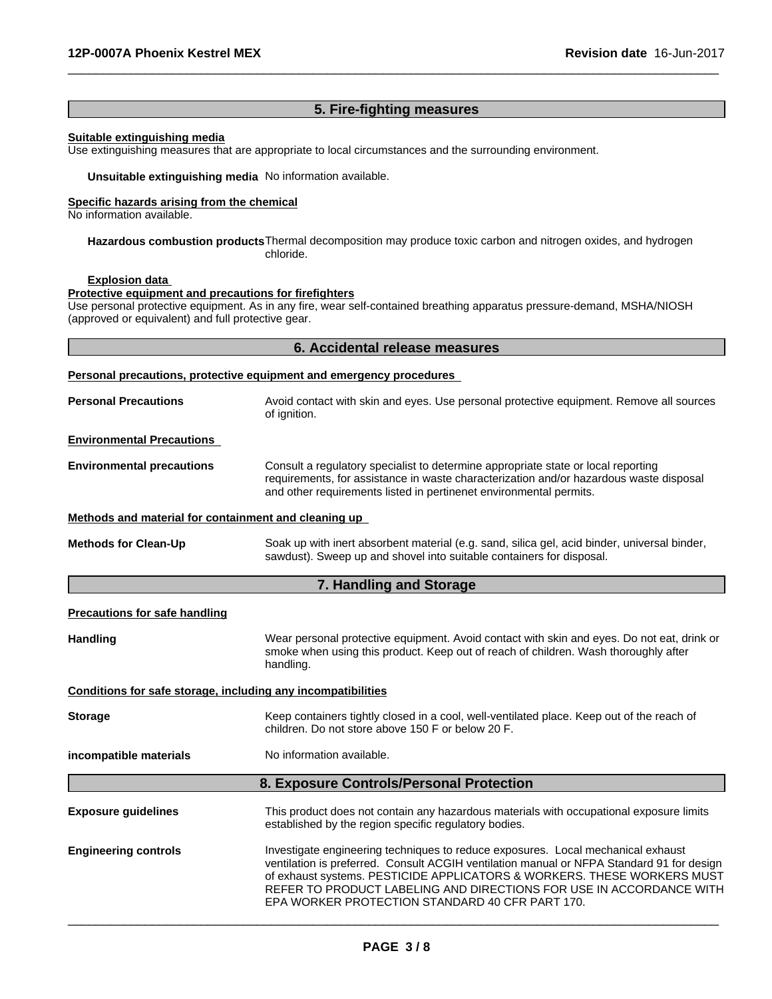# **5. Fire-fighting measures**

 $\overline{\phantom{a}}$  ,  $\overline{\phantom{a}}$  ,  $\overline{\phantom{a}}$  ,  $\overline{\phantom{a}}$  ,  $\overline{\phantom{a}}$  ,  $\overline{\phantom{a}}$  ,  $\overline{\phantom{a}}$  ,  $\overline{\phantom{a}}$  ,  $\overline{\phantom{a}}$  ,  $\overline{\phantom{a}}$  ,  $\overline{\phantom{a}}$  ,  $\overline{\phantom{a}}$  ,  $\overline{\phantom{a}}$  ,  $\overline{\phantom{a}}$  ,  $\overline{\phantom{a}}$  ,  $\overline{\phantom{a}}$ 

### **Suitable extinguishing media**

Use extinguishing measures that are appropriate to local circumstances and the surrounding environment.

**Unsuitable extinguishing media** No information available.

#### **Specific hazards arising from the chemical**

No information available.

**Hazardous combustion products**Thermal decomposition may produce toxic carbon and nitrogen oxides, and hydrogen chloride.

#### **Explosion data**

**Protective equipment and precautions for firefighters**

Use personal protective equipment. As in any fire, wear self-contained breathing apparatus pressure-demand, MSHA/NIOSH (approved or equivalent) and full protective gear.

## **6. Accidental release measures**

|                                                              | Personal precautions, protective equipment and emergency procedures                                                                                                                                                                                                                                                                                                                |  |  |
|--------------------------------------------------------------|------------------------------------------------------------------------------------------------------------------------------------------------------------------------------------------------------------------------------------------------------------------------------------------------------------------------------------------------------------------------------------|--|--|
| <b>Personal Precautions</b>                                  | Avoid contact with skin and eyes. Use personal protective equipment. Remove all sources<br>of ignition.                                                                                                                                                                                                                                                                            |  |  |
| <b>Environmental Precautions</b>                             |                                                                                                                                                                                                                                                                                                                                                                                    |  |  |
| <b>Environmental precautions</b>                             | Consult a regulatory specialist to determine appropriate state or local reporting<br>requirements, for assistance in waste characterization and/or hazardous waste disposal<br>and other requirements listed in pertinenet environmental permits.                                                                                                                                  |  |  |
| Methods and material for containment and cleaning up         |                                                                                                                                                                                                                                                                                                                                                                                    |  |  |
| <b>Methods for Clean-Up</b>                                  | Soak up with inert absorbent material (e.g. sand, silica gel, acid binder, universal binder,<br>sawdust). Sweep up and shovel into suitable containers for disposal.                                                                                                                                                                                                               |  |  |
|                                                              | 7. Handling and Storage                                                                                                                                                                                                                                                                                                                                                            |  |  |
| Precautions for safe handling                                |                                                                                                                                                                                                                                                                                                                                                                                    |  |  |
| Handling                                                     | Wear personal protective equipment. Avoid contact with skin and eyes. Do not eat, drink or<br>smoke when using this product. Keep out of reach of children. Wash thoroughly after<br>handling.                                                                                                                                                                                     |  |  |
| Conditions for safe storage, including any incompatibilities |                                                                                                                                                                                                                                                                                                                                                                                    |  |  |
| <b>Storage</b>                                               | Keep containers tightly closed in a cool, well-ventilated place. Keep out of the reach of<br>children. Do not store above 150 F or below 20 F.                                                                                                                                                                                                                                     |  |  |
| incompatible materials                                       | No information available.                                                                                                                                                                                                                                                                                                                                                          |  |  |
|                                                              | 8. Exposure Controls/Personal Protection                                                                                                                                                                                                                                                                                                                                           |  |  |
| <b>Exposure guidelines</b>                                   | This product does not contain any hazardous materials with occupational exposure limits<br>established by the region specific regulatory bodies.                                                                                                                                                                                                                                   |  |  |
| <b>Engineering controls</b>                                  | Investigate engineering techniques to reduce exposures. Local mechanical exhaust<br>ventilation is preferred. Consult ACGIH ventilation manual or NFPA Standard 91 for design<br>of exhaust systems. PESTICIDE APPLICATORS & WORKERS. THESE WORKERS MUST<br>REFER TO PRODUCT LABELING AND DIRECTIONS FOR USE IN ACCORDANCE WITH<br>EPA WORKER PROTECTION STANDARD 40 CFR PART 170. |  |  |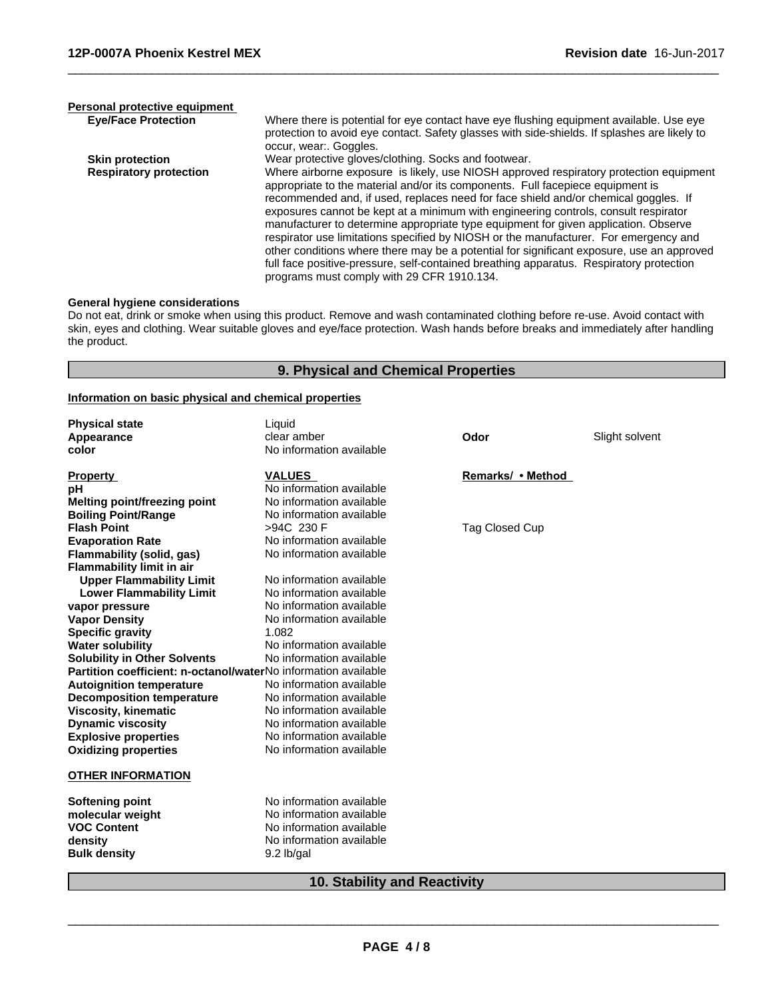| Personal protective equipment |                                                                                                                                                                                                                                                                                                                                                                                                                                                                                                                                                                                                                                                                                                                                                                             |
|-------------------------------|-----------------------------------------------------------------------------------------------------------------------------------------------------------------------------------------------------------------------------------------------------------------------------------------------------------------------------------------------------------------------------------------------------------------------------------------------------------------------------------------------------------------------------------------------------------------------------------------------------------------------------------------------------------------------------------------------------------------------------------------------------------------------------|
| <b>Eye/Face Protection</b>    | Where there is potential for eye contact have eye flushing equipment available. Use eye<br>protection to avoid eye contact. Safety glasses with side-shields. If splashes are likely to<br>occur, wear: Goggles.                                                                                                                                                                                                                                                                                                                                                                                                                                                                                                                                                            |
| <b>Skin protection</b>        | Wear protective gloves/clothing. Socks and footwear.                                                                                                                                                                                                                                                                                                                                                                                                                                                                                                                                                                                                                                                                                                                        |
| <b>Respiratory protection</b> | Where airborne exposure is likely, use NIOSH approved respiratory protection equipment<br>appropriate to the material and/or its components. Full facepiece equipment is<br>recommended and, if used, replaces need for face shield and/or chemical goggles. If<br>exposures cannot be kept at a minimum with engineering controls, consult respirator<br>manufacturer to determine appropriate type equipment for given application. Observe<br>respirator use limitations specified by NIOSH or the manufacturer. For emergency and<br>other conditions where there may be a potential for significant exposure, use an approved<br>full face positive-pressure, self-contained breathing apparatus. Respiratory protection<br>programs must comply with 29 CFR 1910.134. |

 $\overline{\phantom{a}}$  ,  $\overline{\phantom{a}}$  ,  $\overline{\phantom{a}}$  ,  $\overline{\phantom{a}}$  ,  $\overline{\phantom{a}}$  ,  $\overline{\phantom{a}}$  ,  $\overline{\phantom{a}}$  ,  $\overline{\phantom{a}}$  ,  $\overline{\phantom{a}}$  ,  $\overline{\phantom{a}}$  ,  $\overline{\phantom{a}}$  ,  $\overline{\phantom{a}}$  ,  $\overline{\phantom{a}}$  ,  $\overline{\phantom{a}}$  ,  $\overline{\phantom{a}}$  ,  $\overline{\phantom{a}}$ 

#### **General hygiene considerations**

Do not eat, drink or smoke when using this product. Remove and wash contaminated clothing before re-use. Avoid contact with skin, eyes and clothing. Wear suitable gloves and eye/face protection. Wash hands before breaks and immediately after handling the product.

## **9. Physical and Chemical Properties**

#### **Information on basic physical and chemical properties**

| <b>Physical state</b><br>Appearance<br>color                   | Liquid<br>clear amber<br>No information available | Odor                  | Slight solvent |
|----------------------------------------------------------------|---------------------------------------------------|-----------------------|----------------|
|                                                                |                                                   |                       |                |
| <b>Property</b>                                                | <b>VALUES</b>                                     | Remarks/ • Method     |                |
| рH                                                             | No information available                          |                       |                |
| <b>Melting point/freezing point</b>                            | No information available                          |                       |                |
| <b>Boiling Point/Range</b>                                     | No information available                          |                       |                |
| <b>Flash Point</b>                                             | >94C 230 F                                        | <b>Tag Closed Cup</b> |                |
| <b>Evaporation Rate</b>                                        | No information available                          |                       |                |
| Flammability (solid, gas)                                      | No information available                          |                       |                |
| <b>Flammability limit in air</b>                               |                                                   |                       |                |
| <b>Upper Flammability Limit</b>                                | No information available                          |                       |                |
| <b>Lower Flammability Limit</b>                                | No information available                          |                       |                |
| vapor pressure                                                 | No information available                          |                       |                |
| <b>Vapor Density</b>                                           | No information available                          |                       |                |
| <b>Specific gravity</b>                                        | 1.082                                             |                       |                |
| <b>Water solubility</b>                                        | No information available                          |                       |                |
| <b>Solubility in Other Solvents</b>                            | No information available                          |                       |                |
| Partition coefficient: n-octanol/waterNo information available |                                                   |                       |                |
| <b>Autoignition temperature</b>                                | No information available                          |                       |                |
| <b>Decomposition temperature</b>                               | No information available                          |                       |                |
| <b>Viscosity, kinematic</b>                                    | No information available                          |                       |                |
| <b>Dynamic viscosity</b>                                       | No information available                          |                       |                |
| <b>Explosive properties</b>                                    | No information available                          |                       |                |
| <b>Oxidizing properties</b>                                    | No information available                          |                       |                |
| <b>OTHER INFORMATION</b>                                       |                                                   |                       |                |
| <b>Softening point</b>                                         | No information available                          |                       |                |
| molecular weight                                               | No information available                          |                       |                |
| <b>VOC Content</b>                                             | No information available                          |                       |                |
| density                                                        | No information available                          |                       |                |
| <b>Bulk density</b>                                            | 9.2 lb/gal                                        |                       |                |
| <b>10. Stability and Reactivity</b>                            |                                                   |                       |                |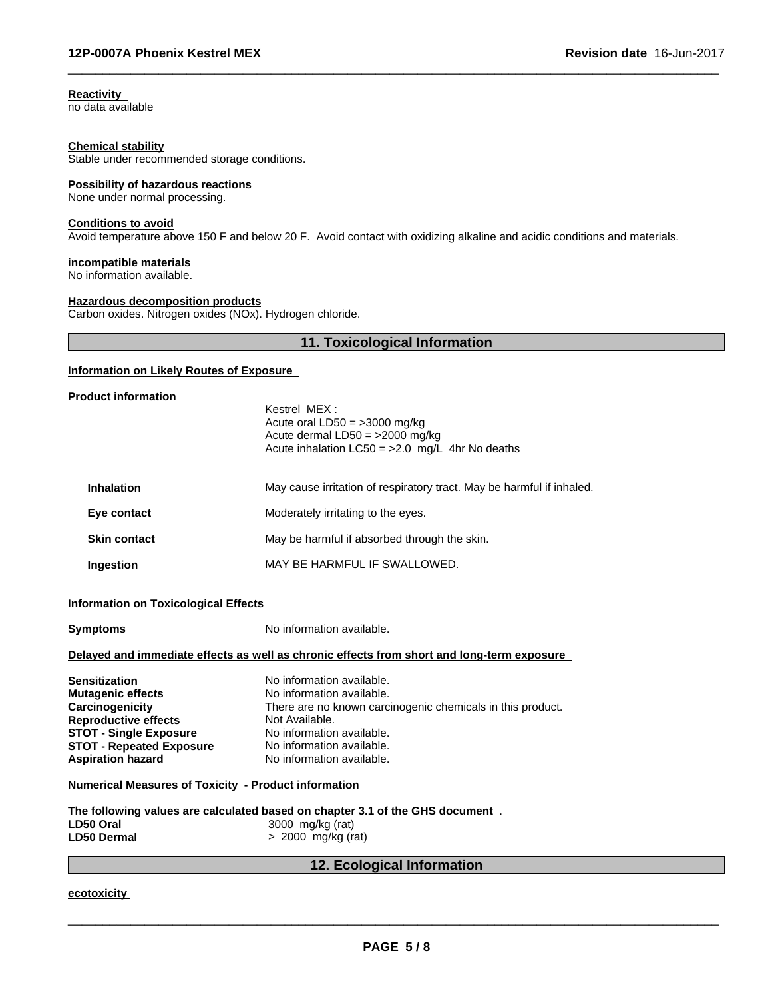**Reactivity**

no data available

#### **Chemical stability**

Stable under recommended storage conditions.

#### **Possibility of hazardous reactions**

None under normal processing.

#### **Conditions to avoid**

Avoid temperature above 150 F and below 20 F. Avoid contact with oxidizing alkaline and acidic conditions and materials.

## **incompatible materials**

No information available.

### **Hazardous decomposition products**

Carbon oxides. Nitrogen oxides (NOx). Hydrogen chloride.

## **11. Toxicological Information**

 $\overline{\phantom{a}}$  ,  $\overline{\phantom{a}}$  ,  $\overline{\phantom{a}}$  ,  $\overline{\phantom{a}}$  ,  $\overline{\phantom{a}}$  ,  $\overline{\phantom{a}}$  ,  $\overline{\phantom{a}}$  ,  $\overline{\phantom{a}}$  ,  $\overline{\phantom{a}}$  ,  $\overline{\phantom{a}}$  ,  $\overline{\phantom{a}}$  ,  $\overline{\phantom{a}}$  ,  $\overline{\phantom{a}}$  ,  $\overline{\phantom{a}}$  ,  $\overline{\phantom{a}}$  ,  $\overline{\phantom{a}}$ 

## **Information on Likely Routes of Exposure**

#### **Product information**

|                     | Kestrel MFX:<br>Acute oral $LD50 = 3000$ mg/kg<br>Acute dermal $LD50 = 2000$ mg/kg<br>Acute inhalation $LC50 = 2.0$ mg/L 4hr No deaths |  |
|---------------------|----------------------------------------------------------------------------------------------------------------------------------------|--|
| <b>Inhalation</b>   | May cause irritation of respiratory tract. May be harmful if inhaled.                                                                  |  |
| Eye contact         | Moderately irritating to the eyes.                                                                                                     |  |
| <b>Skin contact</b> | May be harmful if absorbed through the skin.                                                                                           |  |
| Ingestion           | MAY BE HARMFUL IF SWALLOWED.                                                                                                           |  |

## **Information on Toxicological Effects**

| <b>Symptoms</b>                                                                                                                                                                                           | No information available.                                                                                                                                                                                                     |  |
|-----------------------------------------------------------------------------------------------------------------------------------------------------------------------------------------------------------|-------------------------------------------------------------------------------------------------------------------------------------------------------------------------------------------------------------------------------|--|
|                                                                                                                                                                                                           | Delayed and immediate effects as well as chronic effects from short and long-term exposure                                                                                                                                    |  |
| <b>Sensitization</b><br><b>Mutagenic effects</b><br><b>Carcinogenicity</b><br><b>Reproductive effects</b><br><b>STOT - Single Exposure</b><br><b>STOT - Repeated Exposure</b><br><b>Aspiration hazard</b> | No information available.<br>No information available.<br>There are no known carcinogenic chemicals in this product.<br>Not Available.<br>No information available.<br>No information available.<br>No information available. |  |
| <b>Numerical Measures of Toxicity - Product information</b>                                                                                                                                               |                                                                                                                                                                                                                               |  |
| The following values are calculated based on chapter 3.1 of the GHS document $\,$ .<br>3000 mg/kg (rat)<br>LD50 Oral<br>$> 2000$ mg/kg (rat)<br>LD50 Dermal                                               |                                                                                                                                                                                                                               |  |
| 12. Ecological Information                                                                                                                                                                                |                                                                                                                                                                                                                               |  |

**ecotoxicity**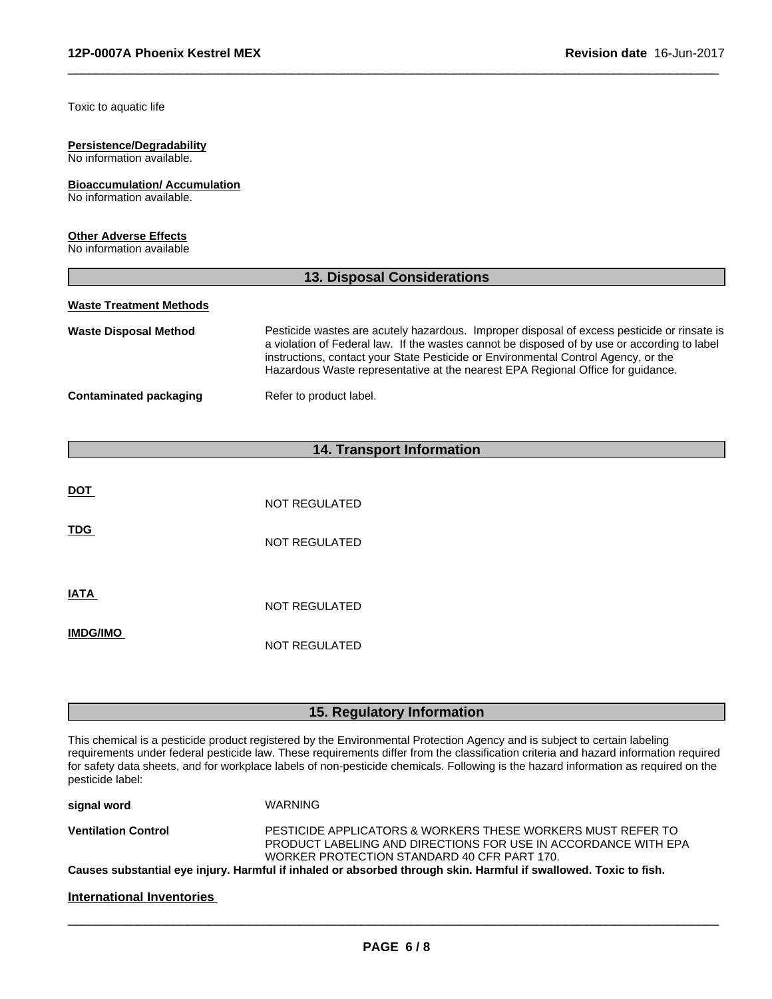Toxic to aquatic life

## **Persistence/Degradability**

No information available.

#### **Bioaccumulation/ Accumulation** No information available.

## **Other Adverse Effects**

No information available

| <b>13. Disposal Considerations</b> |                                                                                                                                                                                                                                                                                                                                                                      |  |
|------------------------------------|----------------------------------------------------------------------------------------------------------------------------------------------------------------------------------------------------------------------------------------------------------------------------------------------------------------------------------------------------------------------|--|
| <b>Waste Treatment Methods</b>     |                                                                                                                                                                                                                                                                                                                                                                      |  |
| <b>Waste Disposal Method</b>       | Pesticide wastes are acutely hazardous. Improper disposal of excess pesticide or rinsate is<br>a violation of Federal law. If the wastes cannot be disposed of by use or according to label<br>instructions, contact your State Pesticide or Environmental Control Agency, or the<br>Hazardous Waste representative at the nearest EPA Regional Office for guidance. |  |
| Contaminated packaging             | Refer to product label.                                                                                                                                                                                                                                                                                                                                              |  |

 $\overline{\phantom{a}}$  ,  $\overline{\phantom{a}}$  ,  $\overline{\phantom{a}}$  ,  $\overline{\phantom{a}}$  ,  $\overline{\phantom{a}}$  ,  $\overline{\phantom{a}}$  ,  $\overline{\phantom{a}}$  ,  $\overline{\phantom{a}}$  ,  $\overline{\phantom{a}}$  ,  $\overline{\phantom{a}}$  ,  $\overline{\phantom{a}}$  ,  $\overline{\phantom{a}}$  ,  $\overline{\phantom{a}}$  ,  $\overline{\phantom{a}}$  ,  $\overline{\phantom{a}}$  ,  $\overline{\phantom{a}}$ 

# **14. Transport Information**

| <b>DOT</b>      | NOT REGULATED |
|-----------------|---------------|
| <b>TDG</b>      | NOT REGULATED |
| <b>IATA</b>     | NOT REGULATED |
| <b>IMDG/IMO</b> | NOT REGULATED |

## **15. Regulatory Information**

This chemical is a pesticide product registered by the Environmental Protection Agency and is subject to certain labeling requirements under federal pesticide law. These requirements differ from the classification criteria and hazard information required for safety data sheets, and for workplace labels of non-pesticide chemicals. Following is the hazard information as required on the pesticide label:

| signal word                | WARNING                                                                                                          |
|----------------------------|------------------------------------------------------------------------------------------------------------------|
| <b>Ventilation Control</b> | PESTICIDE APPLICATORS & WORKERS THESE WORKERS MUST REFER TO                                                      |
|                            | PRODUCT LABELING AND DIRECTIONS FOR USE IN ACCORDANCE WITH EPA                                                   |
|                            | WORKER PROTECTION STANDARD 40 CFR PART 170.                                                                      |
|                            | Causes substantial eye injury. Harmful if inhaled or absorbed through skin. Harmful if swallowed. Toxic to fish. |
|                            |                                                                                                                  |
| International Inventories  |                                                                                                                  |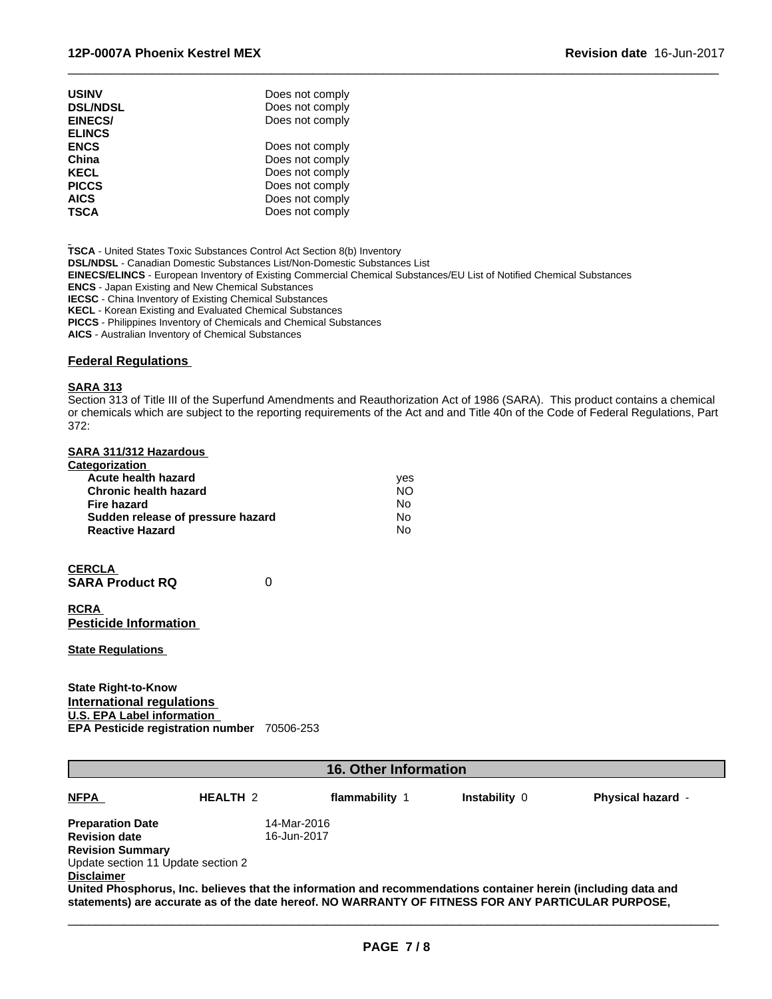| <b>USINV</b>    | Does not comply |
|-----------------|-----------------|
| <b>DSL/NDSL</b> | Does not comply |
| <b>EINECS/</b>  | Does not comply |
| <b>ELINCS</b>   |                 |
| <b>ENCS</b>     | Does not comply |
| China           | Does not comply |
| <b>KECL</b>     | Does not comply |
| <b>PICCS</b>    | Does not comply |
| <b>AICS</b>     | Does not comply |
| <b>TSCA</b>     | Does not comply |

**TSCA** - United States Toxic Substances Control Act Section 8(b) Inventory

**DSL/NDSL** - Canadian Domestic Substances List/Non-Domestic Substances List

**EINECS/ELINCS** - European Inventory of Existing Commercial Chemical Substances/EU List of Notified Chemical Substances

**ENCS** - Japan Existing and New Chemical Substances

**IECSC** - China Inventory of Existing Chemical Substances

**KECL** - Korean Existing and Evaluated Chemical Substances

**PICCS** - Philippines Inventory of Chemicals and Chemical Substances

**AICS** - Australian Inventory of Chemical Substances

## **Federal Regulations**

## **SARA 313**

Section 313 of Title III of the Superfund Amendments and Reauthorization Act of 1986 (SARA). This product contains a chemical or chemicals which are subject to the reporting requirements of the Act and and Title 40n of the Code of Federal Regulations, Part 372:

 $\overline{\phantom{a}}$  ,  $\overline{\phantom{a}}$  ,  $\overline{\phantom{a}}$  ,  $\overline{\phantom{a}}$  ,  $\overline{\phantom{a}}$  ,  $\overline{\phantom{a}}$  ,  $\overline{\phantom{a}}$  ,  $\overline{\phantom{a}}$  ,  $\overline{\phantom{a}}$  ,  $\overline{\phantom{a}}$  ,  $\overline{\phantom{a}}$  ,  $\overline{\phantom{a}}$  ,  $\overline{\phantom{a}}$  ,  $\overline{\phantom{a}}$  ,  $\overline{\phantom{a}}$  ,  $\overline{\phantom{a}}$ 

#### **SARA 311/312 Hazardous**

| Categorization                    |     |  |
|-----------------------------------|-----|--|
| Acute health hazard               | ves |  |
| <b>Chronic health hazard</b>      | NO. |  |
| Fire hazard                       | No  |  |
| Sudden release of pressure hazard | No  |  |
| <b>Reactive Hazard</b>            | No  |  |

| <b>CERCLA</b>          |  |
|------------------------|--|
| <b>SARA Product RQ</b> |  |

**RCRA Pesticide Information**

**State Regulations**

**State Right-to-Know International regulations U.S. EPA Label information EPA Pesticide registration number** 70506-253

| <b>16. Other Information</b>       |                 |                                                                                                                                                                                                                      |                      |                          |  |  |
|------------------------------------|-----------------|----------------------------------------------------------------------------------------------------------------------------------------------------------------------------------------------------------------------|----------------------|--------------------------|--|--|
| <b>NFPA</b>                        | <b>HEALTH 2</b> | flammability 1                                                                                                                                                                                                       | <b>Instability 0</b> | <b>Physical hazard -</b> |  |  |
| <b>Preparation Date</b>            |                 | 14-Mar-2016                                                                                                                                                                                                          |                      |                          |  |  |
| <b>Revision date</b>               |                 | 16-Jun-2017                                                                                                                                                                                                          |                      |                          |  |  |
| <b>Revision Summary</b>            |                 |                                                                                                                                                                                                                      |                      |                          |  |  |
| Update section 11 Update section 2 |                 |                                                                                                                                                                                                                      |                      |                          |  |  |
| <b>Disclaimer</b>                  |                 |                                                                                                                                                                                                                      |                      |                          |  |  |
|                                    |                 | United Phosphorus, Inc. believes that the information and recommendations container herein (including data and<br>statements) are accurate as of the date hereof. NO WARRANTY OF FITNESS FOR ANY PARTICULAR PURPOSE, |                      |                          |  |  |